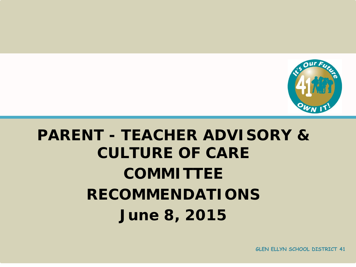

## **PARENT - TEACHER ADVISORY & CULTURE OF CARE COMMITTEE RECOMMENDATIONS June 8, 2015**

**GLEN ELLYN SCHOOL DISTRICT 41**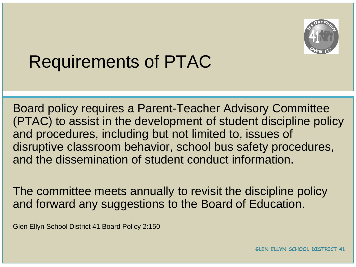

### Requirements of PTAC

Board policy requires a Parent-Teacher Advisory Committee (PTAC) to assist in the development of student discipline policy and procedures, including but not limited to, issues of disruptive classroom behavior, school bus safety procedures, and the dissemination of student conduct information.

The committee meets annually to revisit the discipline policy and forward any suggestions to the Board of Education.

Glen Ellyn School District 41 Board Policy 2:150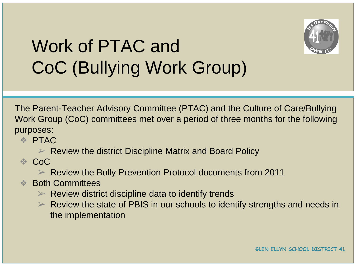

# Work of PTAC and CoC (Bullying Work Group)

The Parent-Teacher Advisory Committee (PTAC) and the Culture of Care/Bullying Work Group (CoC) committees met over a period of three months for the following purposes:

❖ PTAC

 $\triangleright$  Review the district Discipline Matrix and Board Policy

 $\therefore$  CoC

➢ Review the Bully Prevention Protocol documents from 2011

- **<sup>◆</sup> Both Committees** 
	- $\triangleright$  Review district discipline data to identify trends
	- $\triangleright$  Review the state of PBIS in our schools to identify strengths and needs in the implementation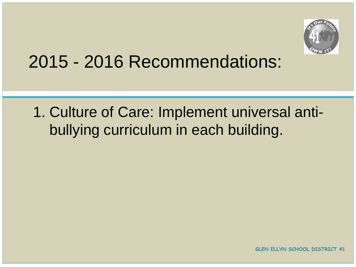

#### 2015 - 2016 Recommendations:

#### 1. Culture of Care: Implement universal antibullying curriculum in each building.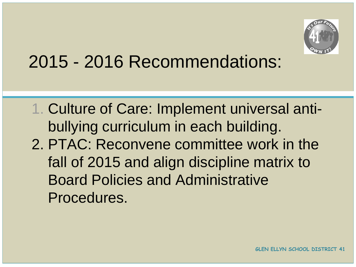

#### 2015 - 2016 Recommendations:

1. Culture of Care: Implement universal antibullying curriculum in each building. 2. PTAC: Reconvene committee work in the fall of 2015 and align discipline matrix to Board Policies and Administrative Procedures.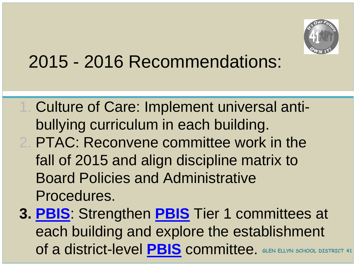

## 2015 - 2016 Recommendations:

- 1. Culture of Care: Implement universal antibullying curriculum in each building.
- 2. PTAC: Reconvene committee work in the fall of 2015 and align discipline matrix to Board Policies and Administrative Procedures.
- **3. [PBIS](https://docs.google.com/a/d41.org/document/d/1tqycWbBcJsIT84nRJLp7VeKAlvBTv7Maas-KD226Nbw/edit?usp=sharing)**: Strengthen **[PBIS](https://docs.google.com/a/d41.org/document/d/1ZZLPvSF7pkmSvUGbLmRZLmnDjl0QW8c4ChsB24Q4J5E/edit?usp=sharing)** Tier 1 committees at each building and explore the establishment of a district-level **[PBIS](https://docs.google.com/a/d41.org/document/d/1OiiRNvPa_p3lZZb5wkoaEmRDnijt20BuCEWRtU0qGhQ/edit?usp=sharing)** committee. **GLEN ELLYN SCHOOL DISTRICT 41**